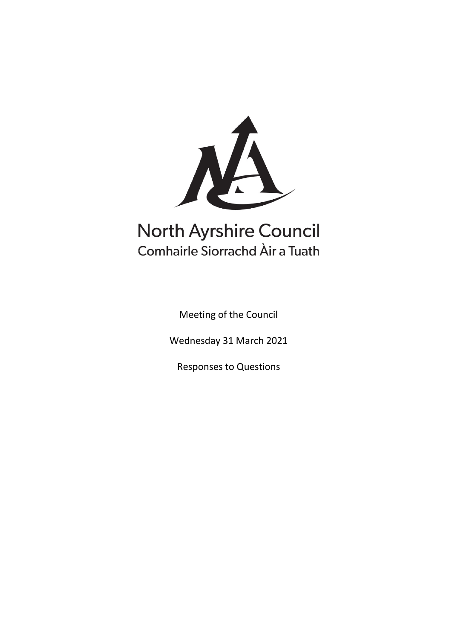

# **North Ayrshire Council** Comhairle Siorrachd Àir a Tuath

Meeting of the Council

Wednesday 31 March 2021

Responses to Questions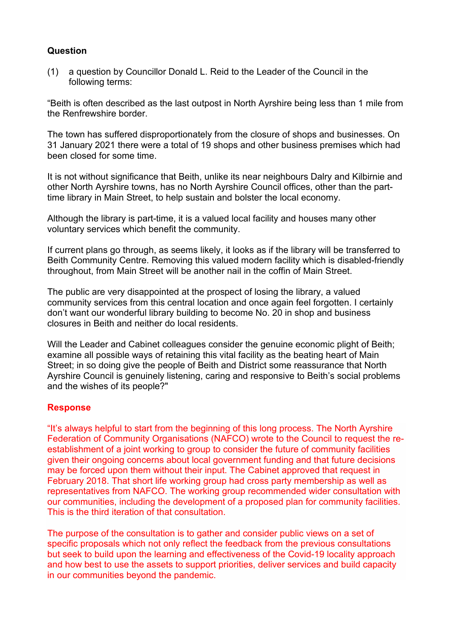## **Question**

(1) a question by Councillor Donald L. Reid to the Leader of the Council in the following terms:

"Beith is often described as the last outpost in North Ayrshire being less than 1 mile from the Renfrewshire border.

The town has suffered disproportionately from the closure of shops and businesses. On 31 January 2021 there were a total of 19 shops and other business premises which had been closed for some time.

It is not without significance that Beith, unlike its near neighbours Dalry and Kilbirnie and other North Ayrshire towns, has no North Ayrshire Council offices, other than the parttime library in Main Street, to help sustain and bolster the local economy.

Although the library is part-time, it is a valued local facility and houses many other voluntary services which benefit the community.

If current plans go through, as seems likely, it looks as if the library will be transferred to Beith Community Centre. Removing this valued modern facility which is disabled-friendly throughout, from Main Street will be another nail in the coffin of Main Street.

The public are very disappointed at the prospect of losing the library, a valued community services from this central location and once again feel forgotten. I certainly don't want our wonderful library building to become No. 20 in shop and business closures in Beith and neither do local residents.

Will the Leader and Cabinet colleagues consider the genuine economic plight of Beith; examine all possible ways of retaining this vital facility as the beating heart of Main Street; in so doing give the people of Beith and District some reassurance that North Ayrshire Council is genuinely listening, caring and responsive to Beith's social problems and the wishes of its people?"

#### **Response**

"It's always helpful to start from the beginning of this long process. The North Ayrshire Federation of Community Organisations (NAFCO) wrote to the Council to request the reestablishment of a joint working to group to consider the future of community facilities given their ongoing concerns about local government funding and that future decisions may be forced upon them without their input. The Cabinet approved that request in February 2018. That short life working group had cross party membership as well as representatives from NAFCO. The working group recommended wider consultation with our communities, including the development of a proposed plan for community facilities. This is the third iteration of that consultation.

The purpose of the consultation is to gather and consider public views on a set of specific proposals which not only reflect the feedback from the previous consultations but seek to build upon the learning and effectiveness of the Covid-19 locality approach and how best to use the assets to support priorities, deliver services and build capacity in our communities beyond the pandemic.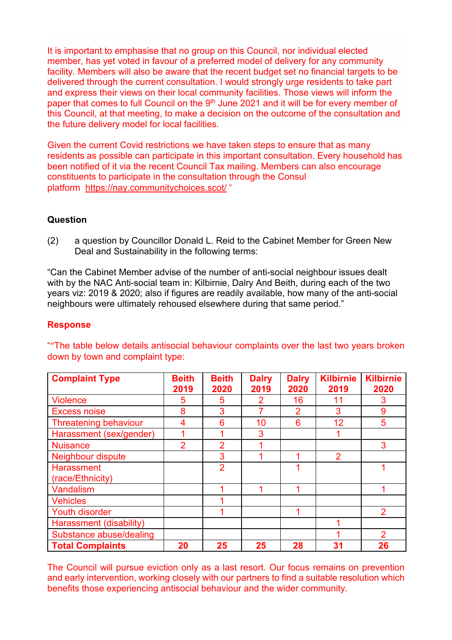It is important to emphasise that no group on this Council, nor individual elected member, has yet voted in favour of a preferred model of delivery for any community facility. Members will also be aware that the recent budget set no financial targets to be delivered through the current consultation. I would strongly urge residents to take part and express their views on their local community facilities. Those views will inform the paper that comes to full Council on the 9<sup>th</sup> June 2021 and it will be for every member of this Council, at that meeting, to make a decision on the outcome of the consultation and the future delivery model for local facilities.

Given the current Covid restrictions we have taken steps to ensure that as many residents as possible can participate in this important consultation. Every household has been notified of it via the recent Council Tax mailing. Members can also encourage constituents to participate in the consultation through the Consul platform <https://nay.communitychoices.scot/> "

# **Question**

(2) a question by Councillor Donald L. Reid to the Cabinet Member for Green New Deal and Sustainability in the following terms:

"Can the Cabinet Member advise of the number of anti-social neighbour issues dealt with by the NAC Anti-social team in: Kilbirnie, Dalry And Beith, during each of the two years viz: 2019 & 2020; also if figures are readily available, how many of the anti-social neighbours were ultimately rehoused elsewhere during that same period."

#### **Response**

| <b>Complaint Type</b>                 | <b>Beith</b><br>2019 | <b>Beith</b><br>2020 | <b>Dalry</b><br>2019 | <b>Dalry</b><br>2020 | <b>Kilbirnie</b><br>2019 | <b>Kilbirnie</b><br>2020 |
|---------------------------------------|----------------------|----------------------|----------------------|----------------------|--------------------------|--------------------------|
| <b>Violence</b>                       | 5                    | 5                    | $\overline{2}$       | 16                   | 11                       | 3                        |
| <b>Excess noise</b>                   | 8                    | 3                    | 7                    | $\overline{2}$       | 3                        | 9                        |
| <b>Threatening behaviour</b>          | 4                    | 6                    | 10                   | 6                    | 12                       | 5                        |
| Harassment (sex/gender)               |                      |                      | 3                    |                      |                          |                          |
| <b>Nuisance</b>                       | $\overline{2}$       | $\overline{2}$       | 1                    |                      |                          | 3                        |
| Neighbour dispute                     |                      | 3                    |                      |                      | $\overline{2}$           |                          |
| <b>Harassment</b><br>(race/Ethnicity) |                      | $\overline{2}$       |                      |                      |                          |                          |
| Vandalism                             |                      |                      |                      |                      |                          |                          |
| <b>Vehicles</b>                       |                      |                      |                      |                      |                          |                          |
| <b>Youth disorder</b>                 |                      |                      |                      |                      |                          | 2                        |
| Harassment (disability)               |                      |                      |                      |                      |                          |                          |
| Substance abuse/dealing               |                      |                      |                      |                      |                          | 2                        |
| <b>Total Complaints</b>               | 20                   | 25                   | 25                   | 28                   | 31                       | 26                       |

""The table below details antisocial behaviour complaints over the last two years broken down by town and complaint type:

The Council will pursue eviction only as a last resort. Our focus remains on prevention and early intervention, working closely with our partners to find a suitable resolution which benefits those experiencing antisocial behaviour and the wider community.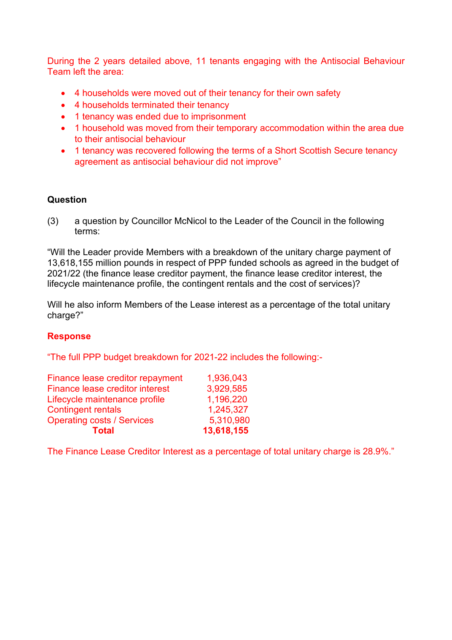During the 2 years detailed above, 11 tenants engaging with the Antisocial Behaviour Team left the area:

- 4 households were moved out of their tenancy for their own safety
- 4 households terminated their tenancy
- 1 tenancy was ended due to imprisonment
- 1 household was moved from their temporary accommodation within the area due to their antisocial behaviour
- 1 tenancy was recovered following the terms of a Short Scottish Secure tenancy agreement as antisocial behaviour did not improve"

#### **Question**

(3) a question by Councillor McNicol to the Leader of the Council in the following terms:

"Will the Leader provide Members with a breakdown of the unitary charge payment of 13,618,155 million pounds in respect of PPP funded schools as agreed in the budget of 2021/22 (the finance lease creditor payment, the finance lease creditor interest, the lifecycle maintenance profile, the contingent rentals and the cost of services)?

Will he also inform Members of the Lease interest as a percentage of the total unitary charge?"

#### **Response**

"The full PPP budget breakdown for 2021-22 includes the following:-

| <b>Total</b>                      | 13,618,155 |
|-----------------------------------|------------|
| <b>Operating costs / Services</b> | 5,310,980  |
| <b>Contingent rentals</b>         | 1,245,327  |
| Lifecycle maintenance profile     | 1,196,220  |
| Finance lease creditor interest   | 3,929,585  |
| Finance lease creditor repayment  | 1.936,043  |

The Finance Lease Creditor Interest as a percentage of total unitary charge is 28.9%."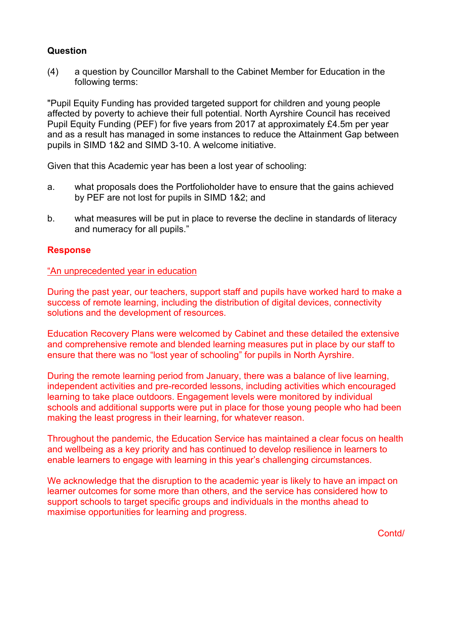# **Question**

(4) a question by Councillor Marshall to the Cabinet Member for Education in the following terms:

"Pupil Equity Funding has provided targeted support for children and young people affected by poverty to achieve their full potential. North Ayrshire Council has received Pupil Equity Funding (PEF) for five years from 2017 at approximately £4.5m per year and as a result has managed in some instances to reduce the Attainment Gap between pupils in SIMD 1&2 and SIMD 3-10. A welcome initiative.

Given that this Academic year has been a lost year of schooling:

- a. what proposals does the Portfolioholder have to ensure that the gains achieved by PEF are not lost for pupils in SIMD 1&2; and
- b. what measures will be put in place to reverse the decline in standards of literacy and numeracy for all pupils."

# **Response**

#### "An unprecedented year in education

During the past year, our teachers, support staff and pupils have worked hard to make a success of remote learning, including the distribution of digital devices, connectivity solutions and the development of resources.

Education Recovery Plans were welcomed by Cabinet and these detailed the extensive and comprehensive remote and blended learning measures put in place by our staff to ensure that there was no "lost year of schooling" for pupils in North Ayrshire.

During the remote learning period from January, there was a balance of live learning, independent activities and pre-recorded lessons, including activities which encouraged learning to take place outdoors. Engagement levels were monitored by individual schools and additional supports were put in place for those young people who had been making the least progress in their learning, for whatever reason.

Throughout the pandemic, the Education Service has maintained a clear focus on health and wellbeing as a key priority and has continued to develop resilience in learners to enable learners to engage with learning in this year's challenging circumstances.

We acknowledge that the disruption to the academic year is likely to have an impact on learner outcomes for some more than others, and the service has considered how to support schools to target specific groups and individuals in the months ahead to maximise opportunities for learning and progress.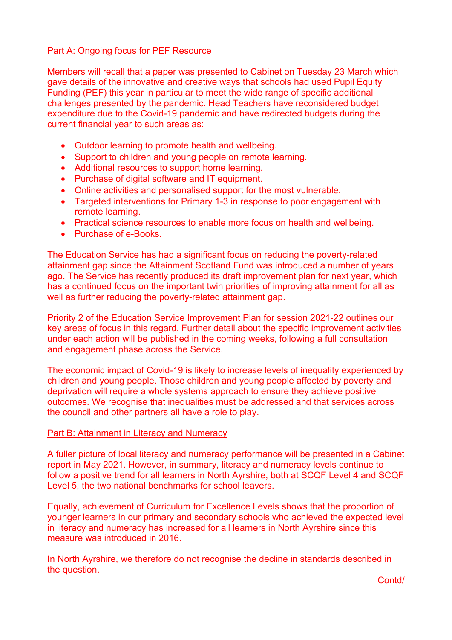## **Part A: Ongoing focus for PEF Resource**

Members will recall that a paper was presented to Cabinet on Tuesday 23 March which gave details of the innovative and creative ways that schools had used Pupil Equity Funding (PEF) this year in particular to meet the wide range of specific additional challenges presented by the pandemic. Head Teachers have reconsidered budget expenditure due to the Covid-19 pandemic and have redirected budgets during the current financial year to such areas as:

- Outdoor learning to promote health and wellbeing.
- Support to children and young people on remote learning.
- Additional resources to support home learning.
- Purchase of digital software and IT equipment.
- Online activities and personalised support for the most vulnerable.
- Targeted interventions for Primary 1-3 in response to poor engagement with remote learning.
- Practical science resources to enable more focus on health and wellbeing.
- Purchase of e-Books.

The Education Service has had a significant focus on reducing the poverty-related attainment gap since the Attainment Scotland Fund was introduced a number of years ago. The Service has recently produced its draft improvement plan for next year, which has a continued focus on the important twin priorities of improving attainment for all as well as further reducing the poverty-related attainment gap.

Priority 2 of the Education Service Improvement Plan for session 2021-22 outlines our key areas of focus in this regard. Further detail about the specific improvement activities under each action will be published in the coming weeks, following a full consultation and engagement phase across the Service.

The economic impact of Covid-19 is likely to increase levels of inequality experienced by children and young people. Those children and young people affected by poverty and deprivation will require a whole systems approach to ensure they achieve positive outcomes. We recognise that inequalities must be addressed and that services across the council and other partners all have a role to play.

#### Part B: Attainment in Literacy and Numeracy

A fuller picture of local literacy and numeracy performance will be presented in a Cabinet report in May 2021. However, in summary, literacy and numeracy levels continue to follow a positive trend for all learners in North Ayrshire, both at SCQF Level 4 and SCQF Level 5, the two national benchmarks for school leavers.

Equally, achievement of Curriculum for Excellence Levels shows that the proportion of younger learners in our primary and secondary schools who achieved the expected level in literacy and numeracy has increased for all learners in North Ayrshire since this measure was introduced in 2016.

In North Ayrshire, we therefore do not recognise the decline in standards described in the question.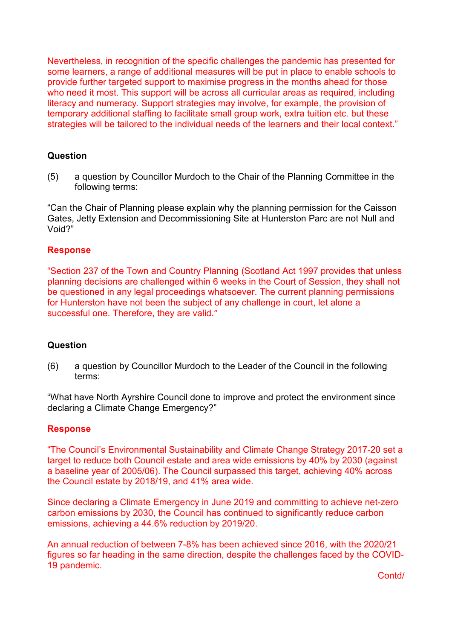Nevertheless, in recognition of the specific challenges the pandemic has presented for some learners, a range of additional measures will be put in place to enable schools to provide further targeted support to maximise progress in the months ahead for those who need it most. This support will be across all curricular areas as required, including literacy and numeracy. Support strategies may involve, for example, the provision of temporary additional staffing to facilitate small group work, extra tuition etc. but these strategies will be tailored to the individual needs of the learners and their local context."

# **Question**

(5) a question by Councillor Murdoch to the Chair of the Planning Committee in the following terms:

"Can the Chair of Planning please explain why the planning permission for the Caisson Gates, Jetty Extension and Decommissioning Site at Hunterston Parc are not Null and Void?"

#### **Response**

"Section 237 of the Town and Country Planning (Scotland Act 1997 provides that unless planning decisions are challenged within 6 weeks in the Court of Session, they shall not be questioned in any legal proceedings whatsoever. The current planning permissions for Hunterston have not been the subject of any challenge in court, let alone a successful one. Therefore, they are valid."

#### **Question**

(6) a question by Councillor Murdoch to the Leader of the Council in the following terms:

"What have North Ayrshire Council done to improve and protect the environment since declaring a Climate Change Emergency?"

#### **Response**

"The Council's Environmental Sustainability and Climate Change Strategy 2017-20 set a target to reduce both Council estate and area wide emissions by 40% by 2030 (against a baseline year of 2005/06). The Council surpassed this target, achieving 40% across the Council estate by 2018/19, and 41% area wide.

Since declaring a Climate Emergency in June 2019 and committing to achieve net-zero carbon emissions by 2030, the Council has continued to significantly reduce carbon emissions, achieving a 44.6% reduction by 2019/20.

An annual reduction of between 7-8% has been achieved since 2016, with the 2020/21 figures so far heading in the same direction, despite the challenges faced by the COVID-19 pandemic.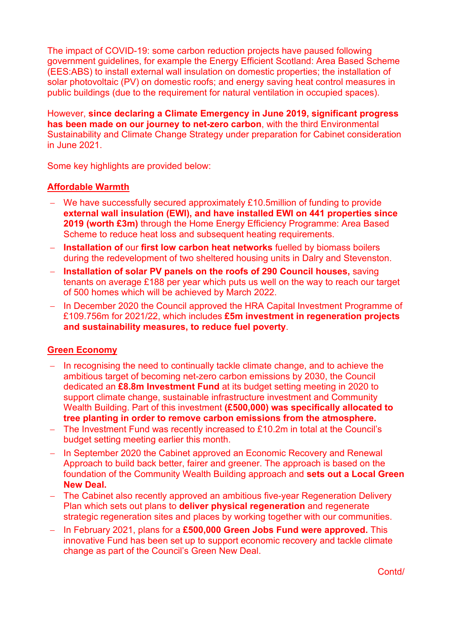The impact of COVID-19: some carbon reduction projects have paused following government guidelines, for example the Energy Efficient Scotland: Area Based Scheme (EES:ABS) to install external wall insulation on domestic properties; the installation of solar photovoltaic (PV) on domestic roofs; and energy saving heat control measures in public buildings (due to the requirement for natural ventilation in occupied spaces).

However, **since declaring a Climate Emergency in June 2019, significant progress has been made on our journey to net-zero carbon**, with the third Environmental Sustainability and Climate Change Strategy under preparation for Cabinet consideration in June 2021.

Some key highlights are provided below:

# **Affordable Warmth**

- − We have successfully secured approximately £10.5million of funding to provide **external wall insulation (EWI), and have installed EWI on 441 properties since 2019 (worth £3m)** through the Home Energy Efficiency Programme: Area Based Scheme to reduce heat loss and subsequent heating requirements.
- − **Installation of** our **first low carbon heat networks** fuelled by biomass boilers during the redevelopment of two sheltered housing units in Dalry and Stevenston.
- − **Installation of solar PV panels on the roofs of 290 Council houses,** saving tenants on average £188 per year which puts us well on the way to reach our target of 500 homes which will be achieved by March 2022.
- − In December 2020 the Council approved the HRA Capital Investment Programme of £109.756m for 2021/22, which includes **£5m investment in regeneration projects and sustainability measures, to reduce fuel poverty**.

#### **Green Economy**

- − In recognising the need to continually tackle climate change, and to achieve the ambitious target of becoming net-zero carbon emissions by 2030, the Council dedicated an **£8.8m Investment Fund** at its budget setting meeting in 2020 to support climate change, sustainable infrastructure investment and Community Wealth Building. Part of this investment **(£500,000) was specifically allocated to tree planting in order to remove carbon emissions from the atmosphere.**
- − The Investment Fund was recently increased to £10.2m in total at the Council's budget setting meeting earlier this month.
- − In September 2020 the Cabinet approved an Economic Recovery and Renewal Approach to build back better, fairer and greener. The approach is based on the foundation of the Community Wealth Building approach and **sets out a Local Green New Deal.**
- − The Cabinet also recently approved an ambitious five-year Regeneration Delivery Plan which sets out plans to **deliver physical regeneration** and regenerate strategic regeneration sites and places by working together with our communities.
- − In February 2021, plans for a **£500,000 Green Jobs Fund were approved.** This innovative Fund has been set up to support economic recovery and tackle climate change as part of the Council's Green New Deal.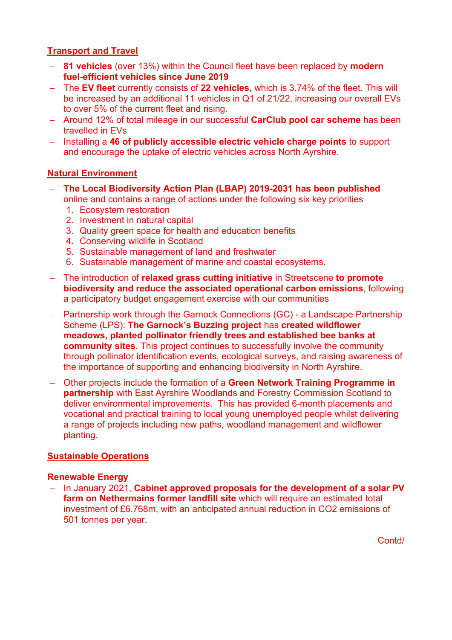# **Transport and Travel**

- − **81 vehicles** (over 13%) within the Council fleet have been replaced by **modern fuel-efficient vehicles since June 2019**
- − The **EV fleet** currently consists of **22 vehicles,** which is 3.74% of the fleet. This will be increased by an additional 11 vehicles in Q1 of 21/22, increasing our overall EVs to over 5% of the current fleet and rising.
- − Around 12% of total mileage in our successful **CarClub pool car scheme** has been travelled in EVs
- − Installing a **46 of publicly accessible electric vehicle charge points** to support and encourage the uptake of electric vehicles across North Ayrshire.

# **Natural Environment**

- − **The Local Biodiversity Action Plan (LBAP) 2019-2031 has been published** online and contains a range of actions under the following six key priorities
	- 1. Ecosystem restoration
	- 2. Investment in natural capital
	- 3. Quality green space for health and education benefits
	- 4. Conserving wildlife in Scotland
	- 5. Sustainable management of land and freshwater
	- 6. Sustainable management of marine and coastal ecosystems.
- − The introduction of **relaxed grass cutting initiative** in Streetscene **to promote biodiversity and reduce the associated operational carbon emissions**, following a participatory budget engagement exercise with our communities
- − Partnership work through the Garnock Connections (GC) a Landscape Partnership Scheme (LPS): **The Garnock's Buzzing project** has **created wildflower meadows, planted pollinator friendly trees and established bee banks at community sites**. This project continues to successfully involve the community through pollinator identification events, ecological surveys, and raising awareness of the importance of supporting and enhancing biodiversity in North Ayrshire.
- − Other projects include the formation of a **Green Network Training Programme in partnership** with East Ayrshire Woodlands and Forestry Commission Scotland to deliver environmental improvements. This has provided 6-month placements and vocational and practical training to local young unemployed people whilst delivering a range of projects including new paths, woodland management and wildflower planting.

# **Sustainable Operations**

#### **Renewable Energy**

− In January 2021, **Cabinet approved proposals for the development of a solar PV farm on Nethermains former landfill site** which will require an estimated total investment of £6.768m, with an anticipated annual reduction in CO2 emissions of 501 tonnes per year.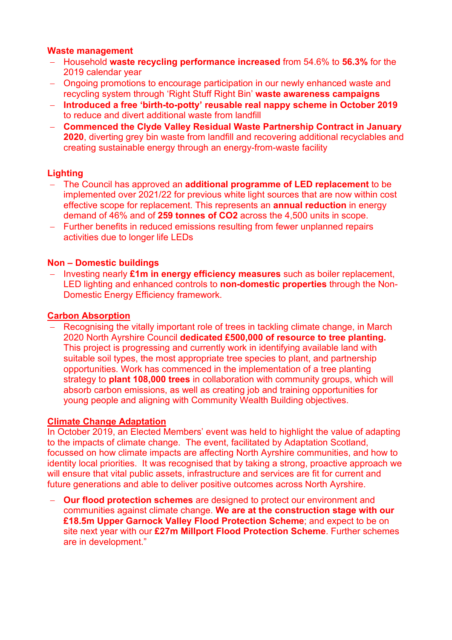# **Waste management**

- − Household **waste recycling performance increased** from 54.6% to **56.3%** for the 2019 calendar year
- − Ongoing promotions to encourage participation in our newly enhanced waste and recycling system through 'Right Stuff Right Bin' **waste awareness campaigns**
- − **Introduced a free 'birth-to-potty' reusable real nappy scheme in October 2019** to reduce and divert additional waste from landfill
- − **Commenced the Clyde Valley Residual Waste Partnership Contract in January 2020**, diverting grey bin waste from landfill and recovering additional recyclables and creating sustainable energy through an energy-from-waste facility

# **Lighting**

- − The Council has approved an **additional programme of LED replacement** to be implemented over 2021/22 for previous white light sources that are now within cost effective scope for replacement. This represents an **annual reduction** in energy demand of 46% and of **259 tonnes of CO2** across the 4,500 units in scope.
- − Further benefits in reduced emissions resulting from fewer unplanned repairs activities due to longer life LEDs

# **Non – Domestic buildings**

− Investing nearly **£1m in energy efficiency measures** such as boiler replacement, LED lighting and enhanced controls to **non-domestic properties** through the Non-Domestic Energy Efficiency framework.

# **Carbon Absorption**

− Recognising the vitally important role of trees in tackling climate change, in March 2020 North Ayrshire Council **dedicated £500,000 of resource to tree planting.** This project is progressing and currently work in identifying available land with suitable soil types, the most appropriate tree species to plant, and partnership opportunities. Work has commenced in the implementation of a tree planting strategy to **plant 108,000 trees** in collaboration with community groups, which will absorb carbon emissions, as well as creating job and training opportunities for young people and aligning with Community Wealth Building objectives.

# **Climate Change Adaptation**

In October 2019, an Elected Members' event was held to highlight the value of adapting to the impacts of climate change. The event, facilitated by Adaptation Scotland, focussed on how climate impacts are affecting North Ayrshire communities, and how to identity local priorities. It was recognised that by taking a strong, proactive approach we will ensure that vital public assets, infrastructure and services are fit for current and future generations and able to deliver positive outcomes across North Ayrshire.

− **Our flood protection schemes** are designed to protect our environment and communities against climate change. **We are at the construction stage with our £18.5m Upper Garnock Valley Flood Protection Scheme**; and expect to be on site next year with our **£27m Millport Flood Protection Scheme**. Further schemes are in development."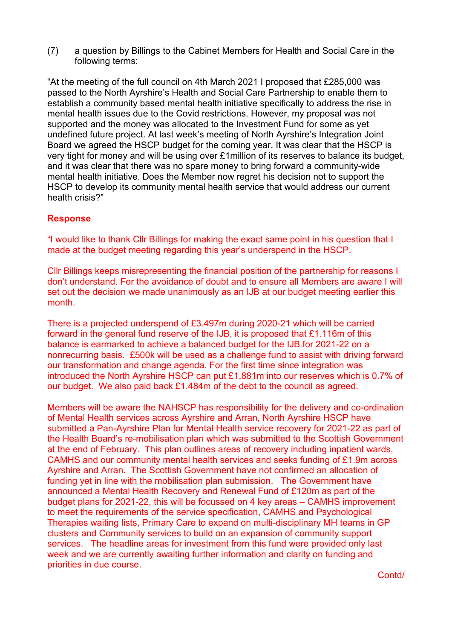(7) a question by Billings to the Cabinet Members for Health and Social Care in the following terms:

"At the meeting of the full council on 4th March 2021 I proposed that £285,000 was passed to the North Ayrshire's Health and Social Care Partnership to enable them to establish a community based mental health initiative specifically to address the rise in mental health issues due to the Covid restrictions. However, my proposal was not supported and the money was allocated to the Investment Fund for some as yet undefined future project. At last week's meeting of North Ayrshire's Integration Joint Board we agreed the HSCP budget for the coming year. It was clear that the HSCP is very tight for money and will be using over £1million of its reserves to balance its budget, and it was clear that there was no spare money to bring forward a community-wide mental health initiative. Does the Member now regret his decision not to support the HSCP to develop its community mental health service that would address our current health crisis?"

# **Response**

"I would like to thank Cllr Billings for making the exact same point in his question that I made at the budget meeting regarding this year's underspend in the HSCP.

Cllr Billings keeps misrepresenting the financial position of the partnership for reasons I don't understand. For the avoidance of doubt and to ensure all Members are aware I will set out the decision we made unanimously as an IJB at our budget meeting earlier this month.

There is a projected underspend of £3.497m during 2020-21 which will be carried forward in the general fund reserve of the IJB, it is proposed that £1.116m of this balance is earmarked to achieve a balanced budget for the IJB for 2021-22 on a nonrecurring basis. £500k will be used as a challenge fund to assist with driving forward our transformation and change agenda. For the first time since integration was introduced the North Ayrshire HSCP can put £1.881m into our reserves which is 0.7% of our budget. We also paid back £1.484m of the debt to the council as agreed.

Members will be aware the NAHSCP has responsibility for the delivery and co-ordination of Mental Health services across Ayrshire and Arran, North Ayrshire HSCP have submitted a Pan-Ayrshire Plan for Mental Health service recovery for 2021-22 as part of the Health Board's re-mobilisation plan which was submitted to the Scottish Government at the end of February. This plan outlines areas of recovery including inpatient wards, CAMHS and our community mental health services and seeks funding of £1.9m across Ayrshire and Arran. The Scottish Government have not confirmed an allocation of funding yet in line with the mobilisation plan submission. The Government have announced a Mental Health Recovery and Renewal Fund of £120m as part of the budget plans for 2021-22, this will be focussed on 4 key areas – CAMHS improvement to meet the requirements of the service specification, CAMHS and Psychological Therapies waiting lists, Primary Care to expand on multi-disciplinary MH teams in GP clusters and Community services to build on an expansion of community support services. The headline areas for investment from this fund were provided only last week and we are currently awaiting further information and clarity on funding and priorities in due course.